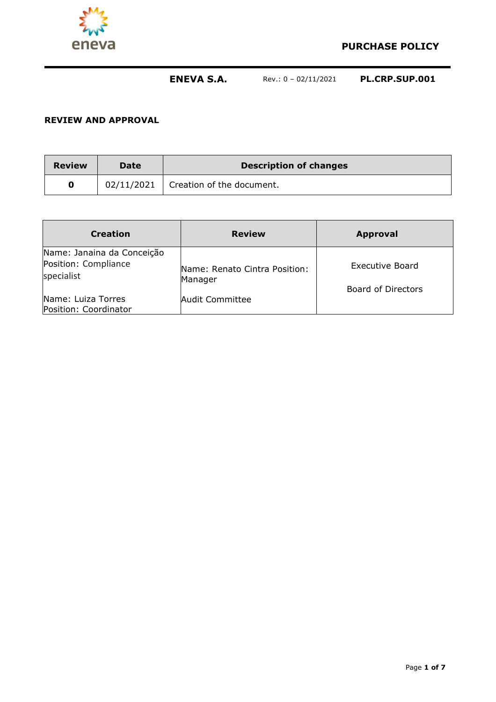

#### **REVIEW AND APPROVAL**

| <b>Review</b> | <b>Date</b> | <b>Description of changes</b>          |
|---------------|-------------|----------------------------------------|
|               |             | $02/11/2021$ Creation of the document. |

| <b>Creation</b>                                                  | <b>Review</b>                            | <b>Approval</b>                              |
|------------------------------------------------------------------|------------------------------------------|----------------------------------------------|
| Name: Janaina da Conceição<br>Position: Compliance<br>specialist | Name: Renato Cintra Position:<br>Manager | Executive Board<br><b>Board of Directors</b> |
| Name: Luiza Torres<br>Position: Coordinator                      | Audit Committee                          |                                              |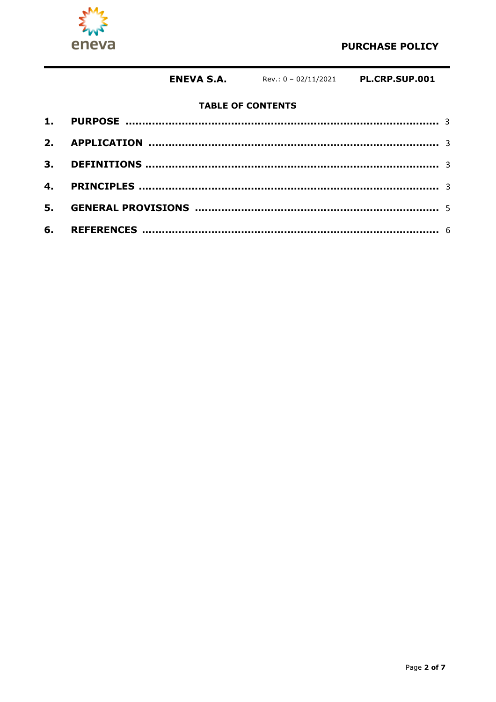

# **TABLE OF CONTENTS**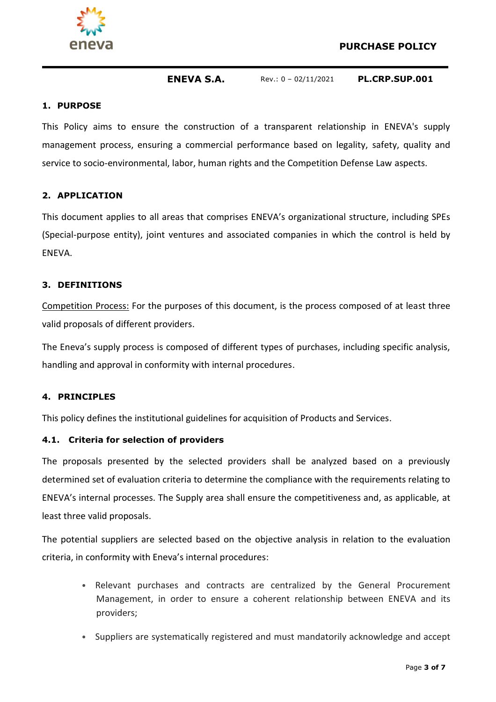



#### **1. PURPOSE**

This Policy aims to ensure the construction of a transparent relationship in ENEVA's supply management process, ensuring a commercial performance based on legality, safety, quality and service to socio-environmental, labor, human rights and the Competition Defense Law aspects.

## **2. APPLICATION**

This document applies to all areas that comprises ENEVA's organizational structure, including SPEs (Special-purpose entity), joint ventures and associated companies in which the control is held by ENEVA.

### **3. DEFINITIONS**

Competition Process: For the purposes of this document, is the process composed of at least three valid proposals of different providers.

The Eneva's supply process is composed of different types of purchases, including specific analysis, handling and approval in conformity with internal procedures.

### **4. PRINCIPLES**

This policy defines the institutional guidelines for acquisition of Products and Services.

### **4.1. Criteria for selection of providers**

The proposals presented by the selected providers shall be analyzed based on a previously determined set of evaluation criteria to determine the compliance with the requirements relating to ENEVA's internal processes. The Supply area shall ensure the competitiveness and, as applicable, at least three valid proposals.

The potential suppliers are selected based on the objective analysis in relation to the evaluation criteria, in conformity with Eneva's internal procedures:

- Relevant purchases and contracts are centralized by the General Procurement Management, in order to ensure a coherent relationship between ENEVA and its providers;
- Suppliers are systematically registered and must mandatorily acknowledge and accept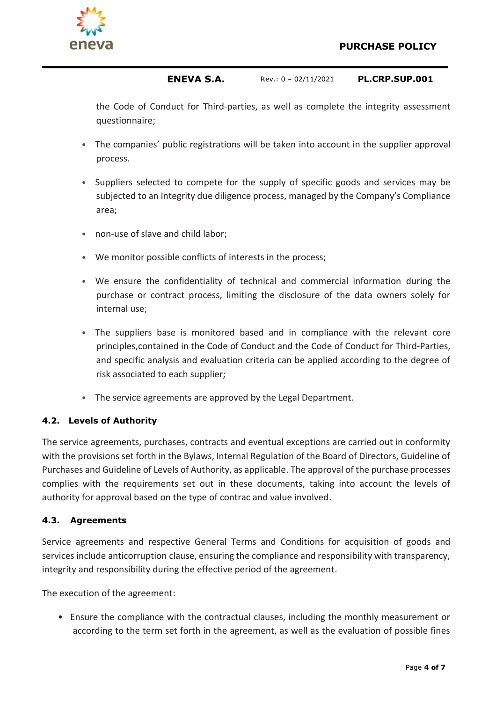

the Code of Conduct for Third-parties, as well as complete the integrity assessment questionnaire;

- The companies' public registrations will be taken into account in the supplier approval process.
- Suppliers selected to compete for the supply of specific goods and services may be subjected to an Integrity due diligence process, managed by the Company's Compliance area;
- non-use of slave and child labor;
- We monitor possible conflicts of interests in the process;
- We ensure the confidentiality of technical and commercial information during the purchase or contract process, limiting the disclosure of the data owners solely for internal use;
- The suppliers base is monitored based and in compliance with the relevant core principles,contained in the Code of Conduct and the Code of Conduct for Third-Parties, and specific analysis and evaluation criteria can be applied according to the degree of risk associated to each supplier;
- The service agreements are approved by the Legal Department.

# **4.2. Levels of Authority**

The service agreements, purchases, contracts and eventual exceptions are carried out in conformity with the provisions set forth in the Bylaws, Internal Regulation of the Board of Directors, Guideline of Purchases and Guideline of Levels of Authority, as applicable. The approval of the purchase processes complies with the requirements set out in these documents, taking into account the levels of authority for approval based on the type of contrac and value involved.

# **4.3. Agreements**

Service agreements and respective General Terms and Conditions for acquisition of goods and services include anticorruption clause, ensuring the compliance and responsibility with transparency, integrity and responsibility during the effective period of the agreement.

The execution of the agreement:

• Ensure the compliance with the contractual clauses, including the monthly measurement or according to the term set forth in the agreement, as well as the evaluation of possible fines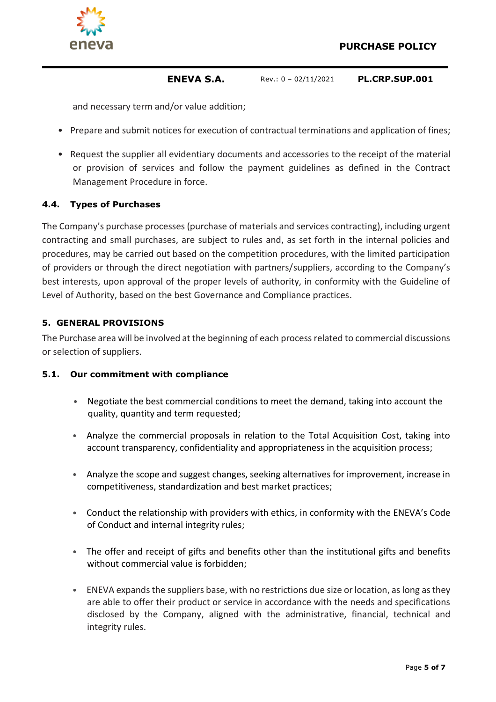

and necessary term and/or value addition;

- Prepare and submit notices for execution of contractual terminations and application of fines;
- Request the supplier all evidentiary documents and accessories to the receipt of the material or provision of services and follow the payment guidelines as defined in the Contract Management Procedure in force.

## **4.4. Types of Purchases**

The Company's purchase processes (purchase of materials and services contracting), including urgent contracting and small purchases, are subject to rules and, as set forth in the internal policies and procedures, may be carried out based on the competition procedures, with the limited participation of providers or through the direct negotiation with partners/suppliers, according to the Company's best interests, upon approval of the proper levels of authority, in conformity with the Guideline of Level of Authority, based on the best Governance and Compliance practices.

## **5. GENERAL PROVISIONS**

The Purchase area will be involved at the beginning of each process related to commercial discussions or selection of suppliers.

### **5.1. Our commitment with compliance**

- Negotiate the best commercial conditions to meet the demand, taking into account the quality, quantity and term requested;
- Analyze the commercial proposals in relation to the Total Acquisition Cost, taking into account transparency, confidentiality and appropriateness in the acquisition process;
- Analyze the scope and suggest changes, seeking alternatives for improvement, increase in competitiveness, standardization and best market practices;
- Conduct the relationship with providers with ethics, in conformity with the ENEVA's Code of Conduct and internal integrity rules;
- The offer and receipt of gifts and benefits other than the institutional gifts and benefits without commercial value is forbidden;
- ENEVA expands the suppliers base, with no restrictions due size or location, as long as they are able to offer their product or service in accordance with the needs and specifications disclosed by the Company, aligned with the administrative, financial, technical and integrity rules.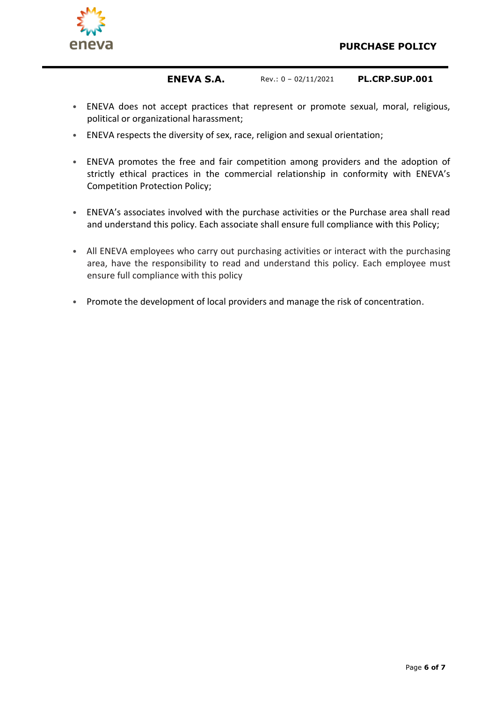

- ENEVA does not accept practices that represent or promote sexual, moral, religious, political or organizational harassment;
- ENEVA respects the diversity of sex, race, religion and sexual orientation;
- ENEVA promotes the free and fair competition among providers and the adoption of strictly ethical practices in the commercial relationship in conformity with ENEVA's Competition Protection Policy;
- ENEVA's associates involved with the purchase activities or the Purchase area shall read and understand this policy. Each associate shall ensure full compliance with this Policy;
- All ENEVA employees who carry out purchasing activities or interact with the purchasing area, have the responsibility to read and understand this policy. Each employee must ensure full compliance with this policy
- Promote the development of local providers and manage the risk of concentration.